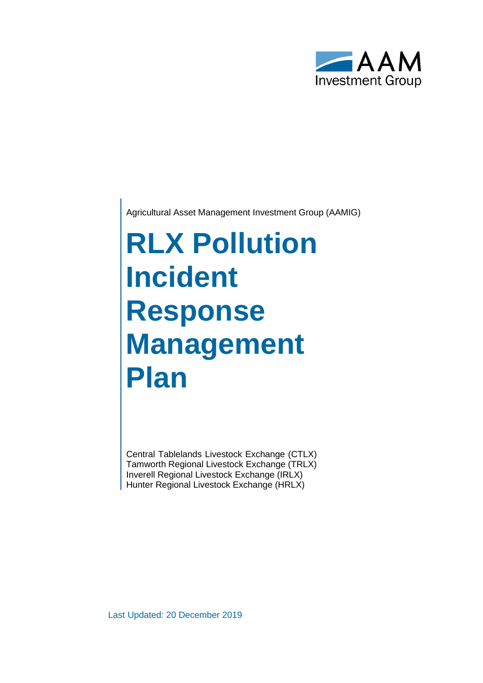

Agricultural Asset Management Investment Group (AAMIG)

# **RLX Pollution Incident Response Management Plan**

Central Tablelands Livestock Exchange (CTLX) Tamworth Regional Livestock Exchange (TRLX) Inverell Regional Livestock Exchange (IRLX) Hunter Regional Livestock Exchange (HRLX)

Last Updated: 20 December 2019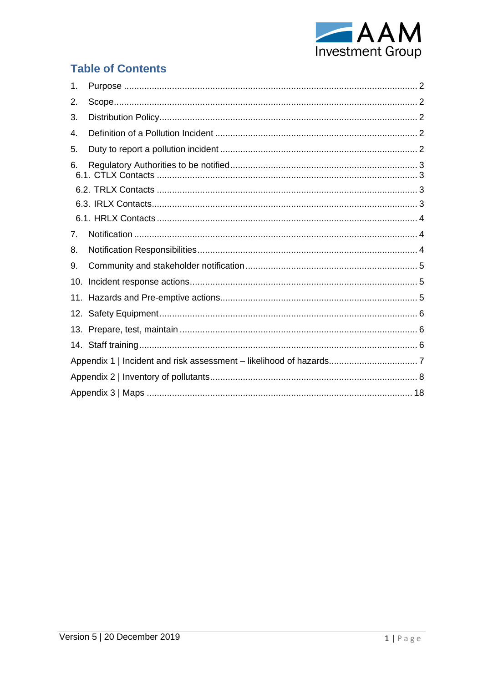

# **Table of Contents**

| 1.  |  |
|-----|--|
| 2.  |  |
| 3.  |  |
| 4.  |  |
| 5.  |  |
| 6.  |  |
|     |  |
|     |  |
|     |  |
| 7.  |  |
| 8.  |  |
| 9.  |  |
| 10. |  |
| 11. |  |
|     |  |
|     |  |
|     |  |
|     |  |
|     |  |
|     |  |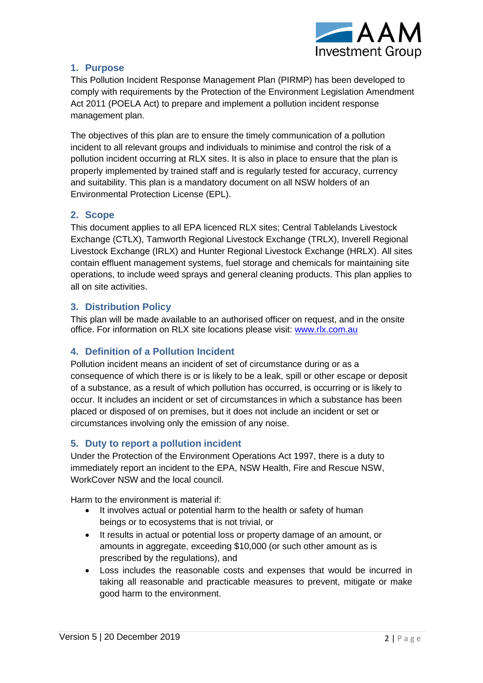

# <span id="page-2-0"></span>**1. Purpose**

This Pollution Incident Response Management Plan (PIRMP) has been developed to comply with requirements by the Protection of the Environment Legislation Amendment Act 2011 (POELA Act) to prepare and implement a pollution incident response management plan.

The objectives of this plan are to ensure the timely communication of a pollution incident to all relevant groups and individuals to minimise and control the risk of a pollution incident occurring at RLX sites. It is also in place to ensure that the plan is properly implemented by trained staff and is regularly tested for accuracy, currency and suitability. This plan is a mandatory document on all NSW holders of an Environmental Protection License (EPL).

# <span id="page-2-1"></span>**2. Scope**

This document applies to all EPA licenced RLX sites; Central Tablelands Livestock Exchange (CTLX), Tamworth Regional Livestock Exchange (TRLX), Inverell Regional Livestock Exchange (IRLX) and Hunter Regional Livestock Exchange (HRLX). All sites contain effluent management systems, fuel storage and chemicals for maintaining site operations, to include weed sprays and general cleaning products. This plan applies to all on site activities.

# <span id="page-2-2"></span>**3. Distribution Policy**

This plan will be made available to an authorised officer on request, and in the onsite office. For information on RLX site locations please visit: [www.rlx.com.au](http://www.rlx.com.au/)

# <span id="page-2-3"></span>**4. Definition of a Pollution Incident**

Pollution incident means an incident of set of circumstance during or as a consequence of which there is or is likely to be a leak, spill or other escape or deposit of a substance, as a result of which pollution has occurred, is occurring or is likely to occur. It includes an incident or set of circumstances in which a substance has been placed or disposed of on premises, but it does not include an incident or set or circumstances involving only the emission of any noise.

# <span id="page-2-4"></span>**5. Duty to report a pollution incident**

Under the Protection of the Environment Operations Act 1997, there is a duty to immediately report an incident to the EPA, NSW Health, Fire and Rescue NSW, WorkCover NSW and the local council.

Harm to the environment is material if:

- It involves actual or potential harm to the health or safety of human beings or to ecosystems that is not trivial, or
- It results in actual or potential loss or property damage of an amount, or amounts in aggregate, exceeding \$10,000 (or such other amount as is prescribed by the regulations), and
- Loss includes the reasonable costs and expenses that would be incurred in taking all reasonable and practicable measures to prevent, mitigate or make good harm to the environment.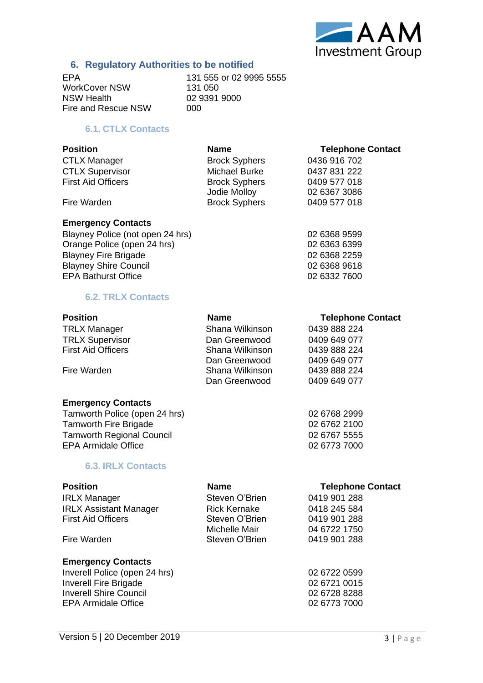

# **6. Regulatory Authorities to be notified**

WorkCover NSW<br>NSW Health Fire and Rescue NSW

<span id="page-3-0"></span>EPA<br>
WorkCover NSW 131 555 or 02 9995 5555<br>
131 050 02 9391 9000<br>000

# **6.1. CTLX Contacts**

<span id="page-3-1"></span>

| <b>Position</b>           | <b>Name</b>          | <b>Telephone Contact</b> |
|---------------------------|----------------------|--------------------------|
| <b>CTLX Manager</b>       | <b>Brock Syphers</b> | 0436 916 702             |
| <b>CTLX Supervisor</b>    | Michael Burke        | 0437 831 222             |
| <b>First Aid Officers</b> | <b>Brock Syphers</b> | 0409 577 018             |
|                           | Jodie Molloy         | 02 6367 3086             |
| Fire Warden               | <b>Brock Syphers</b> | 0409 577 018             |

#### **Emergency Contacts**

Blayney Police (not open 24 hrs) 02 6368 9599<br>
Orange Police (open 24 hrs) 02 6363 6399<br>
02 6363 6399 Orange Police (open 24 hrs) Blayney Fire Brigade 02 6368 2259 Blayney Shire Council **Disk Council Blayney Shire Council 02 6368 9618** EPA Bathurst Office 02 6332 7600

#### **6.2. TRLX Contacts**

<span id="page-3-2"></span>

| <b>Position</b>                  | <b>Name</b>     | <b>Telephone Contact</b> |
|----------------------------------|-----------------|--------------------------|
| <b>TRLX Manager</b>              | Shana Wilkinson | 0439 888 224             |
| <b>TRLX Supervisor</b>           | Dan Greenwood   | 0409 649 077             |
| <b>First Aid Officers</b>        | Shana Wilkinson | 0439 888 224             |
|                                  | Dan Greenwood   | 0409 649 077             |
| Fire Warden                      | Shana Wilkinson | 0439 888 224             |
|                                  | Dan Greenwood   | 0409 649 077             |
| <b>Emergency Contacts</b>        |                 |                          |
| Tamworth Police (open 24 hrs)    |                 | 02 6768 2999             |
| <b>Tamworth Fire Brigade</b>     |                 | 02 6762 2100             |
| <b>Tamworth Regional Council</b> |                 | 02 6767 5555             |
| <b>EPA Armidale Office</b>       |                 | 02 6773 7000             |
| <b>6.3. IRLX Contacts</b>        |                 |                          |

<span id="page-3-3"></span>

| <b>Position</b>               | <b>Name</b>         | <b>Telephone Contact</b> |
|-------------------------------|---------------------|--------------------------|
| <b>IRLX Manager</b>           | Steven O'Brien      | 0419 901 288             |
| <b>IRLX Assistant Manager</b> | <b>Rick Kernake</b> | 0418 245 584             |
| <b>First Aid Officers</b>     | Steven O'Brien      | 0419 901 288             |
|                               | Michelle Mair       | 04 6722 1750             |
| Fire Warden                   | Steven O'Brien      | 0419 901 288             |
| <b>Emergency Contacts</b>     |                     |                          |
| Inverell Police (open 24 hrs) |                     | 02 6722 0599             |
| <b>Inverell Fire Brigade</b>  |                     | 02 6721 0015             |
| <b>Inverell Shire Council</b> |                     | 02 6728 8288             |

EPA Armidale Office 02 6773 7000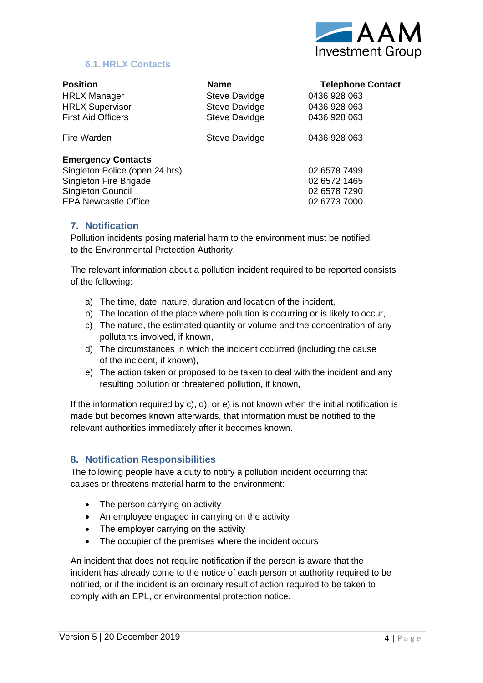

# **6.1. HRLX Contacts**

<span id="page-4-0"></span>

| <b>Position</b>                | <b>Name</b>   | <b>Telephone Contact</b> |
|--------------------------------|---------------|--------------------------|
| <b>HRLX Manager</b>            | Steve Davidge | 0436 928 063             |
| <b>HRLX Supervisor</b>         | Steve Davidge | 0436 928 063             |
| <b>First Aid Officers</b>      | Steve Davidge | 0436 928 063             |
| Fire Warden                    | Steve Davidge | 0436 928 063             |
| <b>Emergency Contacts</b>      |               |                          |
| Singleton Police (open 24 hrs) |               | 02 6578 7499             |
| Singleton Fire Brigade         |               | 02 6572 1465             |
| <b>Singleton Council</b>       |               | 02 6578 7290             |
| <b>FPA Newcastle Office</b>    |               | 02 6773 7000             |

#### <span id="page-4-1"></span>**7. Notification**

Pollution incidents posing material harm to the environment must be notified to the Environmental Protection Authority.

The relevant information about a pollution incident required to be reported consists of the following:

- a) The time, date, nature, duration and location of the incident,
- b) The location of the place where pollution is occurring or is likely to occur,
- c) The nature, the estimated quantity or volume and the concentration of any pollutants involved, if known,
- d) The circumstances in which the incident occurred (including the cause of the incident, if known),
- e) The action taken or proposed to be taken to deal with the incident and any resulting pollution or threatened pollution, if known,

If the information required by c), d), or e) is not known when the initial notification is made but becomes known afterwards, that information must be notified to the relevant authorities immediately after it becomes known.

#### <span id="page-4-2"></span>**8. Notification Responsibilities**

The following people have a duty to notify a pollution incident occurring that causes or threatens material harm to the environment:

- The person carrying on activity
- An employee engaged in carrying on the activity
- The employer carrying on the activity
- The occupier of the premises where the incident occurs

An incident that does not require notification if the person is aware that the incident has already come to the notice of each person or authority required to be notified, or if the incident is an ordinary result of action required to be taken to comply with an EPL, or environmental protection notice.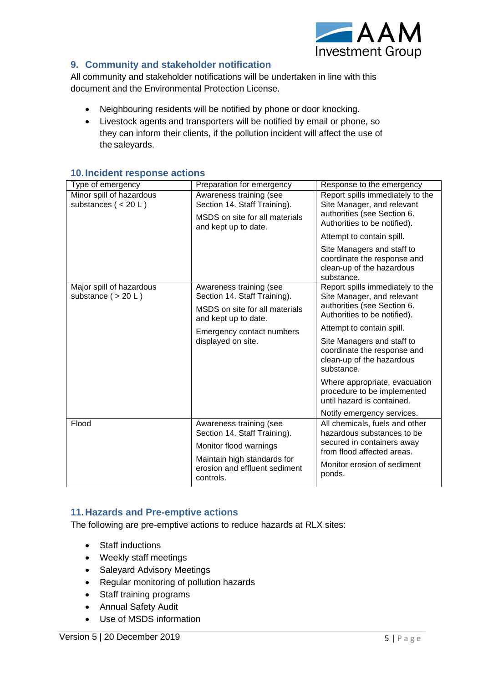

# <span id="page-5-0"></span>**9. Community and stakeholder notification**

All community and stakeholder notifications will be undertaken in line with this document and the Environmental Protection License.

- Neighbouring residents will be notified by phone or door knocking.
- Livestock agents and transporters will be notified by email or phone, so they can inform their clients, if the pollution incident will affect the use of the saleyards.

| Type of emergency                                 | Preparation for emergency                                                                                         | Response to the emergency                                                                                                     |
|---------------------------------------------------|-------------------------------------------------------------------------------------------------------------------|-------------------------------------------------------------------------------------------------------------------------------|
| Minor spill of hazardous<br>substances $(< 20 L)$ | Awareness training (see<br>Section 14. Staff Training).<br>MSDS on site for all materials<br>and kept up to date. | Report spills immediately to the<br>Site Manager, and relevant<br>authorities (see Section 6.<br>Authorities to be notified). |
|                                                   |                                                                                                                   | Attempt to contain spill.                                                                                                     |
|                                                   |                                                                                                                   | Site Managers and staff to<br>coordinate the response and<br>clean-up of the hazardous<br>substance.                          |
| Major spill of hazardous<br>substance $( > 20 L)$ | Awareness training (see<br>Section 14. Staff Training).                                                           | Report spills immediately to the<br>Site Manager, and relevant                                                                |
|                                                   | MSDS on site for all materials<br>and kept up to date.                                                            | authorities (see Section 6.<br>Authorities to be notified).                                                                   |
|                                                   | Emergency contact numbers                                                                                         | Attempt to contain spill.                                                                                                     |
|                                                   | displayed on site.                                                                                                | Site Managers and staff to<br>coordinate the response and<br>clean-up of the hazardous<br>substance.                          |
|                                                   |                                                                                                                   | Where appropriate, evacuation<br>procedure to be implemented<br>until hazard is contained.                                    |
|                                                   |                                                                                                                   | Notify emergency services.                                                                                                    |
| Flood                                             | Awareness training (see<br>Section 14. Staff Training).                                                           | All chemicals, fuels and other<br>hazardous substances to be                                                                  |
|                                                   | Monitor flood warnings                                                                                            | secured in containers away<br>from flood affected areas.                                                                      |
|                                                   | Maintain high standards for<br>erosion and effluent sediment<br>controls.                                         | Monitor erosion of sediment<br>ponds.                                                                                         |

#### <span id="page-5-1"></span>**10.Incident response actions**

#### <span id="page-5-2"></span>**11.Hazards and Pre-emptive actions**

The following are pre-emptive actions to reduce hazards at RLX sites:

- Staff inductions
- Weekly staff meetings
- Saleyard Advisory Meetings
- Regular monitoring of pollution hazards
- Staff training programs
- Annual Safety Audit
- Use of MSDS information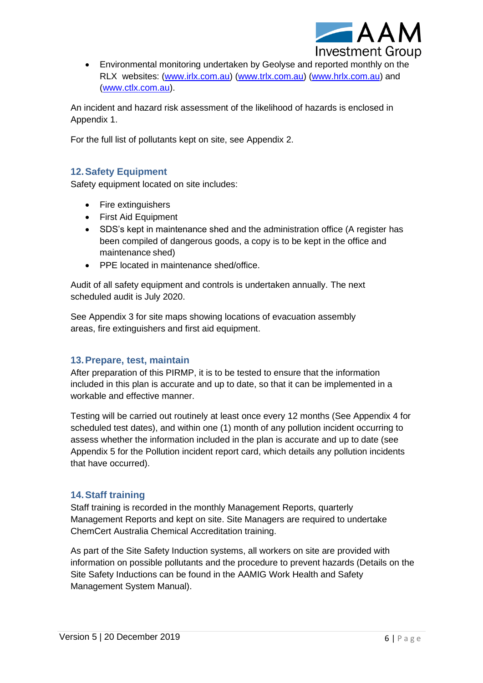

• Environmental monitoring undertaken by Geolyse and reported monthly on the RLX websites: [\(www.irlx.com.au\)](http://www.irlx.com.au/) [\(www.trlx.com.au\)](http://www.trlx.com.au/) [\(www.hrlx.com.au\)](www.hrlx.com.au) and [\(www.ctlx.com.au\)](http://www.ctlx.com.au/).

An incident and hazard risk assessment of the likelihood of hazards is enclosed in Appendix 1.

For the full list of pollutants kept on site, see Appendix 2.

# <span id="page-6-0"></span>**12.Safety Equipment**

Safety equipment located on site includes:

- Fire extinguishers
- First Aid Equipment
- SDS's kept in maintenance shed and the administration office (A register has been compiled of dangerous goods, a copy is to be kept in the office and maintenance shed)
- PPE located in maintenance shed/office.

Audit of all safety equipment and controls is undertaken annually. The next scheduled audit is July 2020.

See Appendix 3 for site maps showing locations of evacuation assembly areas, fire extinguishers and first aid equipment.

# <span id="page-6-1"></span>**13.Prepare, test, maintain**

After preparation of this PIRMP, it is to be tested to ensure that the information included in this plan is accurate and up to date, so that it can be implemented in a workable and effective manner.

Testing will be carried out routinely at least once every 12 months (See Appendix 4 for scheduled test dates), and within one (1) month of any pollution incident occurring to assess whether the information included in the plan is accurate and up to date (see Appendix 5 for the Pollution incident report card, which details any pollution incidents that have occurred).

# <span id="page-6-2"></span>**14.Staff training**

Staff training is recorded in the monthly Management Reports, quarterly Management Reports and kept on site. Site Managers are required to undertake ChemCert Australia Chemical Accreditation training.

As part of the Site Safety Induction systems, all workers on site are provided with information on possible pollutants and the procedure to prevent hazards (Details on the Site Safety Inductions can be found in the AAMIG Work Health and Safety Management System Manual).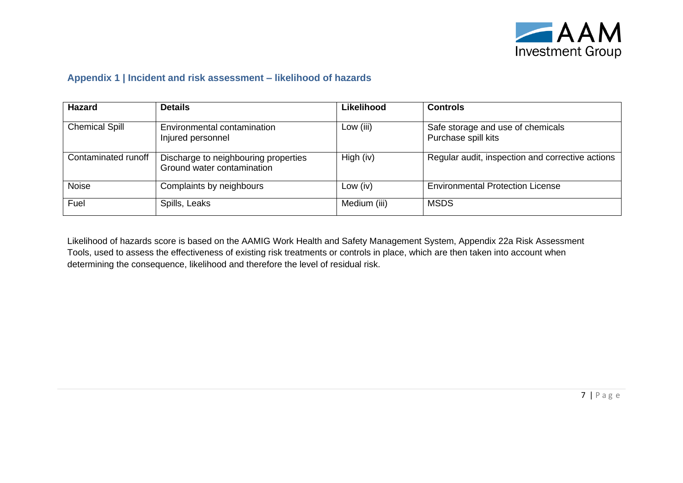

#### **Appendix 1 | Incident and risk assessment – likelihood of hazards**

| <b>Hazard</b>         | <b>Details</b>                                                     | <b>Likelihood</b> | <b>Controls</b>                                          |
|-----------------------|--------------------------------------------------------------------|-------------------|----------------------------------------------------------|
| <b>Chemical Spill</b> | Environmental contamination<br>Injured personnel                   | Low (iii)         | Safe storage and use of chemicals<br>Purchase spill kits |
| Contaminated runoff   | Discharge to neighbouring properties<br>Ground water contamination | High $(iv)$       | Regular audit, inspection and corrective actions         |
| <b>Noise</b>          | Complaints by neighbours                                           | Low $(iv)$        | <b>Environmental Protection License</b>                  |
| Fuel                  | Spills, Leaks                                                      | Medium (iii)      | <b>MSDS</b>                                              |

<span id="page-7-0"></span>Likelihood of hazards score is based on the AAMIG Work Health and Safety Management System, Appendix 22a Risk Assessment Tools, used to assess the effectiveness of existing risk treatments or controls in place, which are then taken into account when determining the consequence, likelihood and therefore the level of residual risk.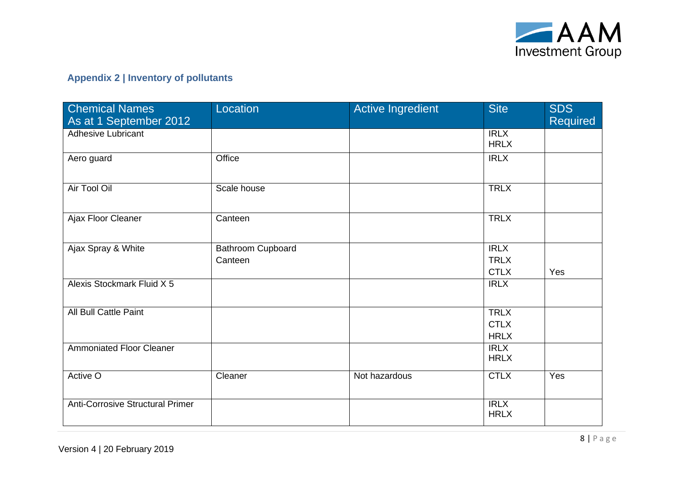

# **Appendix 2 | Inventory of pollutants**

<span id="page-8-0"></span>

| <b>Chemical Names</b>                   | Location          | <b>Active Ingredient</b> | <b>Site</b> | <b>SDS</b>      |
|-----------------------------------------|-------------------|--------------------------|-------------|-----------------|
| As at 1 September 2012                  |                   |                          |             | <b>Required</b> |
| <b>Adhesive Lubricant</b>               |                   |                          | <b>IRLX</b> |                 |
|                                         |                   |                          | <b>HRLX</b> |                 |
| Aero guard                              | Office            |                          | <b>IRLX</b> |                 |
|                                         |                   |                          |             |                 |
| Air Tool Oil                            | Scale house       |                          | <b>TRLX</b> |                 |
|                                         |                   |                          |             |                 |
| Ajax Floor Cleaner                      | Canteen           |                          | <b>TRLX</b> |                 |
|                                         |                   |                          |             |                 |
| Ajax Spray & White                      | Bathroom Cupboard |                          | IRLX        |                 |
|                                         | Canteen           |                          | <b>TRLX</b> |                 |
|                                         |                   |                          | <b>CTLX</b> | Yes             |
| Alexis Stockmark Fluid X 5              |                   |                          | <b>IRLX</b> |                 |
|                                         |                   |                          |             |                 |
| <b>All Bull Cattle Paint</b>            |                   |                          | <b>TRLX</b> |                 |
|                                         |                   |                          | <b>CTLX</b> |                 |
|                                         |                   |                          | <b>HRLX</b> |                 |
| <b>Ammoniated Floor Cleaner</b>         |                   |                          | IRLX        |                 |
|                                         |                   |                          | <b>HRLX</b> |                 |
| Active O                                | Cleaner           | Not hazardous            | <b>CTLX</b> | Yes             |
|                                         |                   |                          |             |                 |
| <b>Anti-Corrosive Structural Primer</b> |                   |                          | <b>IRLX</b> |                 |
|                                         |                   |                          | <b>HRLX</b> |                 |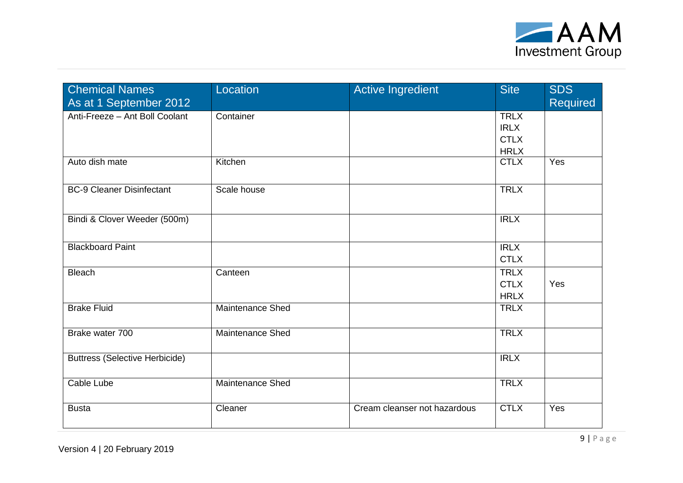

| <b>Chemical Names</b>                 | Location                | Active Ingredient            | <b>Site</b> | <b>SDS</b>      |
|---------------------------------------|-------------------------|------------------------------|-------------|-----------------|
| As at 1 September 2012                |                         |                              |             | <b>Required</b> |
| Anti-Freeze - Ant Boll Coolant        | Container               |                              | <b>TRLX</b> |                 |
|                                       |                         |                              | <b>IRLX</b> |                 |
|                                       |                         |                              | <b>CTLX</b> |                 |
|                                       |                         |                              | <b>HRLX</b> |                 |
| Auto dish mate                        | Kitchen                 |                              | <b>CTLX</b> | Yes             |
|                                       |                         |                              |             |                 |
| <b>BC-9 Cleaner Disinfectant</b>      | Scale house             |                              | <b>TRLX</b> |                 |
|                                       |                         |                              |             |                 |
| Bindi & Clover Weeder (500m)          |                         |                              | <b>IRLX</b> |                 |
|                                       |                         |                              |             |                 |
| <b>Blackboard Paint</b>               |                         |                              | <b>IRLX</b> |                 |
|                                       |                         |                              | <b>CTLX</b> |                 |
| <b>Bleach</b>                         | Canteen                 |                              | <b>TRLX</b> |                 |
|                                       |                         |                              | <b>CTLX</b> | Yes             |
|                                       |                         |                              | <b>HRLX</b> |                 |
| <b>Brake Fluid</b>                    | Maintenance Shed        |                              | <b>TRLX</b> |                 |
|                                       |                         |                              |             |                 |
| Brake water 700                       | <b>Maintenance Shed</b> |                              | <b>TRLX</b> |                 |
|                                       |                         |                              |             |                 |
| <b>Buttress (Selective Herbicide)</b> |                         |                              | <b>IRLX</b> |                 |
|                                       |                         |                              |             |                 |
| Cable Lube                            | Maintenance Shed        |                              | <b>TRLX</b> |                 |
|                                       |                         |                              |             |                 |
| <b>Busta</b>                          | Cleaner                 | Cream cleanser not hazardous | <b>CTLX</b> | Yes             |
|                                       |                         |                              |             |                 |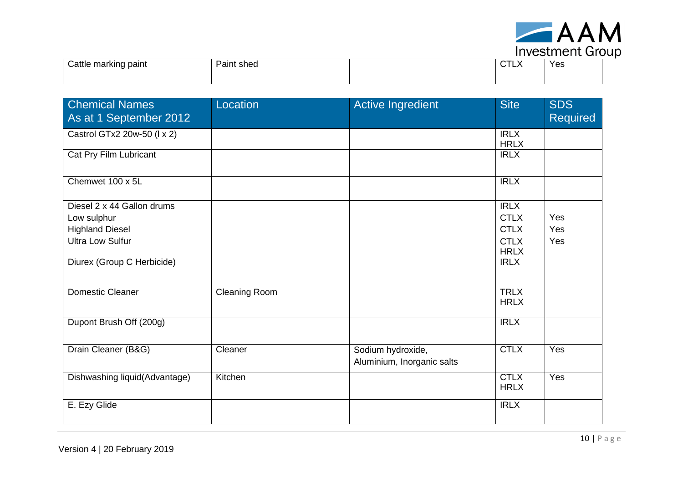

| . <b>. . . . .</b>             |            |  |                   |     |
|--------------------------------|------------|--|-------------------|-----|
| $\sim$<br>Cattle marking paint | Paint shed |  | $\sim$ TIV<br>◡▯▵ | Yes |
|                                |            |  |                   |     |

| <b>Chemical Names</b><br>As at 1 September 2012 | Location             | <b>Active Ingredient</b>                        | <b>Site</b>                | <b>SDS</b><br><b>Required</b> |
|-------------------------------------------------|----------------------|-------------------------------------------------|----------------------------|-------------------------------|
| Castrol GTx2 20w-50 (I x 2)                     |                      |                                                 | IRLX<br><b>HRLX</b>        |                               |
| Cat Pry Film Lubricant                          |                      |                                                 | <b>IRLX</b>                |                               |
| Chemwet 100 x 5L                                |                      |                                                 | IRLX                       |                               |
| Diesel 2 x 44 Gallon drums                      |                      |                                                 | IRLX                       |                               |
| Low sulphur                                     |                      |                                                 | <b>CTLX</b>                | Yes                           |
| <b>Highland Diesel</b>                          |                      |                                                 | <b>CTLX</b>                | Yes                           |
| <b>Ultra Low Sulfur</b>                         |                      |                                                 | <b>CTLX</b><br><b>HRLX</b> | Yes                           |
| Diurex (Group C Herbicide)                      |                      |                                                 | <b>IRLX</b>                |                               |
| <b>Domestic Cleaner</b>                         | <b>Cleaning Room</b> |                                                 | <b>TRLX</b><br><b>HRLX</b> |                               |
| Dupont Brush Off (200g)                         |                      |                                                 | <b>IRLX</b>                |                               |
| Drain Cleaner (B&G)                             | Cleaner              | Sodium hydroxide,<br>Aluminium, Inorganic salts | <b>CTLX</b>                | Yes                           |
| Dishwashing liquid(Advantage)                   | Kitchen              |                                                 | <b>CTLX</b><br><b>HRLX</b> | Yes                           |
| E. Ezy Glide                                    |                      |                                                 | <b>IRLX</b>                |                               |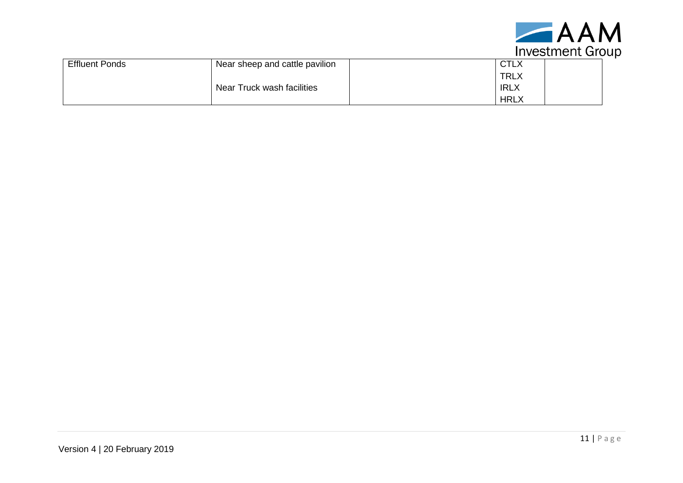

| <b>Effluent Ponds</b> | Near sheep and cattle pavilion | <b>CTLX</b> |  |
|-----------------------|--------------------------------|-------------|--|
|                       |                                | <b>TRLX</b> |  |
|                       | Near Truck wash facilities     | <b>IRLX</b> |  |
|                       |                                | <b>HRLX</b> |  |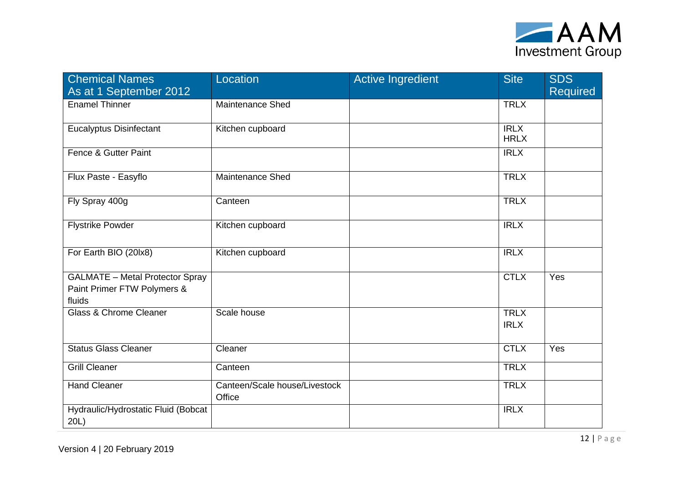

| <b>Chemical Names</b><br>As at 1 September 2012                                 | Location                                | <b>Active Ingredient</b> | <b>Site</b>                | <b>SDS</b><br>Required |
|---------------------------------------------------------------------------------|-----------------------------------------|--------------------------|----------------------------|------------------------|
| <b>Enamel Thinner</b>                                                           | Maintenance Shed                        |                          | <b>TRLX</b>                |                        |
| <b>Eucalyptus Disinfectant</b>                                                  | Kitchen cupboard                        |                          | <b>IRLX</b><br><b>HRLX</b> |                        |
| Fence & Gutter Paint                                                            |                                         |                          | <b>IRLX</b>                |                        |
| Flux Paste - Easyflo                                                            | Maintenance Shed                        |                          | <b>TRLX</b>                |                        |
| Fly Spray 400g                                                                  | Canteen                                 |                          | <b>TRLX</b>                |                        |
| <b>Flystrike Powder</b>                                                         | Kitchen cupboard                        |                          | <b>IRLX</b>                |                        |
| For Earth BIO (20lx8)                                                           | Kitchen cupboard                        |                          | IRLX                       |                        |
| <b>GALMATE</b> - Metal Protector Spray<br>Paint Primer FTW Polymers &<br>fluids |                                         |                          | <b>CTLX</b>                | Yes                    |
| Glass & Chrome Cleaner                                                          | Scale house                             |                          | <b>TRLX</b><br><b>IRLX</b> |                        |
| <b>Status Glass Cleaner</b>                                                     | Cleaner                                 |                          | <b>CTLX</b>                | Yes                    |
| <b>Grill Cleaner</b>                                                            | Canteen                                 |                          | <b>TRLX</b>                |                        |
| <b>Hand Cleaner</b>                                                             | Canteen/Scale house/Livestock<br>Office |                          | <b>TRLX</b>                |                        |
| Hydraulic/Hydrostatic Fluid (Bobcat<br>20L)                                     |                                         |                          | <b>IRLX</b>                |                        |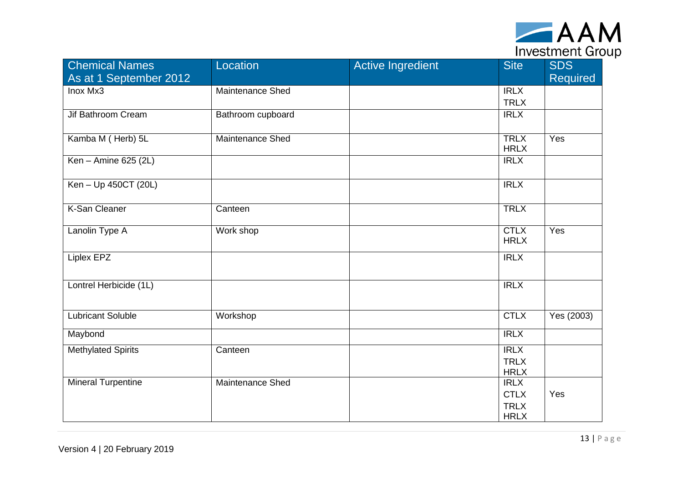

| <b>Chemical Names</b><br>As at 1 September 2012 | Location                | <b>Active Ingredient</b> | <b>Site</b>                                              | <b>SDS</b><br><b>Required</b> |
|-------------------------------------------------|-------------------------|--------------------------|----------------------------------------------------------|-------------------------------|
| Inox Mx3                                        | Maintenance Shed        |                          | <b>IRLX</b><br><b>TRLX</b>                               |                               |
| Jif Bathroom Cream                              | Bathroom cupboard       |                          | <b>IRLX</b>                                              |                               |
| Kamba M (Herb) 5L                               | <b>Maintenance Shed</b> |                          | <b>TRLX</b><br><b>HRLX</b>                               | Yes                           |
| Ken - Amine 625 (2L)                            |                         |                          | <b>IRLX</b>                                              |                               |
| Ken - Up 450CT (20L)                            |                         |                          | IRLX                                                     |                               |
| <b>K-San Cleaner</b>                            | Canteen                 |                          | <b>TRLX</b>                                              |                               |
| Lanolin Type A                                  | Work shop               |                          | <b>CTLX</b><br><b>HRLX</b>                               | Yes                           |
| Liplex EPZ                                      |                         |                          | <b>IRLX</b>                                              |                               |
| Lontrel Herbicide (1L)                          |                         |                          | <b>IRLX</b>                                              |                               |
| <b>Lubricant Soluble</b>                        | Workshop                |                          | <b>CTLX</b>                                              | Yes (2003)                    |
| Maybond                                         |                         |                          | IRLX                                                     |                               |
| <b>Methylated Spirits</b>                       | Canteen                 |                          | IRLX<br><b>TRLX</b><br><b>HRLX</b>                       |                               |
| <b>Mineral Turpentine</b>                       | <b>Maintenance Shed</b> |                          | <b>IRLX</b><br><b>CTLX</b><br><b>TRLX</b><br><b>HRLX</b> | Yes                           |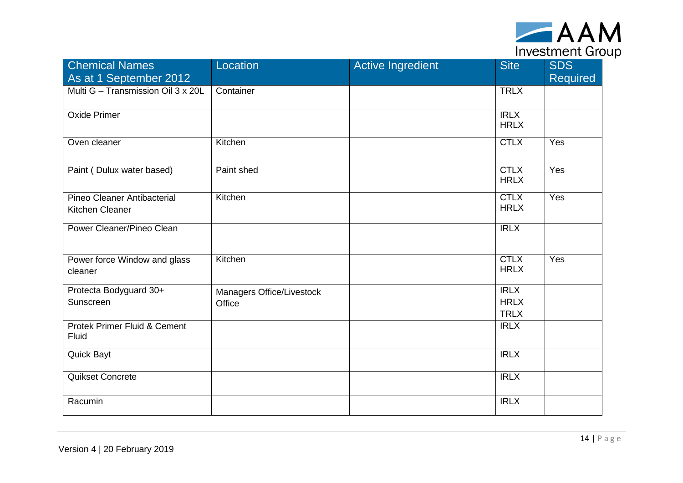

| <b>Chemical Names</b><br>As at 1 September 2012 | Location                            | <b>Active Ingredient</b> | <b>Site</b>                               | <b>SDS</b><br><b>Required</b> |
|-------------------------------------------------|-------------------------------------|--------------------------|-------------------------------------------|-------------------------------|
| Multi G - Transmission Oil 3 x 20L              | Container                           |                          | <b>TRLX</b>                               |                               |
| Oxide Primer                                    |                                     |                          | <b>IRLX</b><br><b>HRLX</b>                |                               |
| Oven cleaner                                    | Kitchen                             |                          | <b>CTLX</b>                               | Yes                           |
| Paint (Dulux water based)                       | Paint shed                          |                          | <b>CTLX</b><br><b>HRLX</b>                | Yes                           |
| Pineo Cleaner Antibacterial<br>Kitchen Cleaner  | Kitchen                             |                          | <b>CTLX</b><br><b>HRLX</b>                | Yes                           |
| Power Cleaner/Pineo Clean                       |                                     |                          | <b>IRLX</b>                               |                               |
| Power force Window and glass<br>cleaner         | Kitchen                             |                          | <b>CTLX</b><br><b>HRLX</b>                | Yes                           |
| Protecta Bodyguard 30+<br>Sunscreen             | Managers Office/Livestock<br>Office |                          | <b>IRLX</b><br><b>HRLX</b><br><b>TRLX</b> |                               |
| Protek Primer Fluid & Cement<br>Fluid           |                                     |                          | <b>IRLX</b>                               |                               |
| Quick Bayt                                      |                                     |                          | <b>IRLX</b>                               |                               |
| Quikset Concrete                                |                                     |                          | <b>IRLX</b>                               |                               |
| Racumin                                         |                                     |                          | <b>IRLX</b>                               |                               |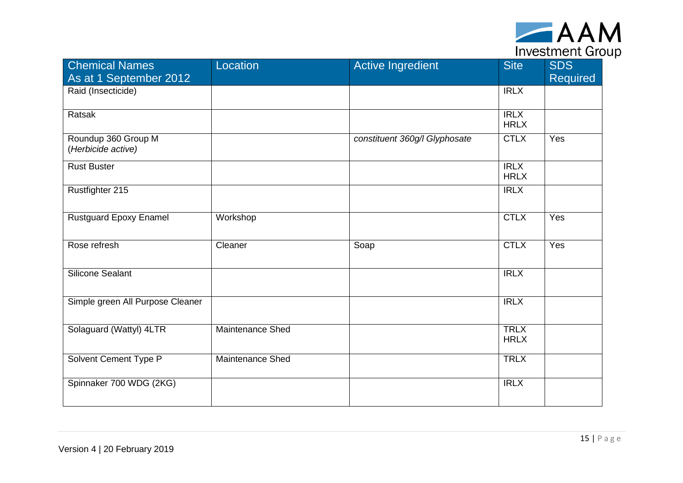

| <b>Chemical Names</b><br>As at 1 September 2012 | Location                | <b>Active Ingredient</b>      | <b>Site</b>                | <b>SDS</b><br><b>Required</b> |
|-------------------------------------------------|-------------------------|-------------------------------|----------------------------|-------------------------------|
| Raid (Insecticide)                              |                         |                               | <b>IRLX</b>                |                               |
| Ratsak                                          |                         |                               | <b>IRLX</b><br><b>HRLX</b> |                               |
| Roundup 360 Group M<br>(Herbicide active)       |                         | constituent 360g/l Glyphosate | <b>CTLX</b>                | Yes                           |
| <b>Rust Buster</b>                              |                         |                               | <b>IRLX</b><br><b>HRLX</b> |                               |
| Rustfighter 215                                 |                         |                               | IRLX                       |                               |
| <b>Rustguard Epoxy Enamel</b>                   | Workshop                |                               | <b>CTLX</b>                | Yes                           |
| Rose refresh                                    | Cleaner                 | Soap                          | <b>CTLX</b>                | Yes                           |
| Silicone Sealant                                |                         |                               | <b>IRLX</b>                |                               |
| Simple green All Purpose Cleaner                |                         |                               | <b>IRLX</b>                |                               |
| Solaguard (Wattyl) 4LTR                         | <b>Maintenance Shed</b> |                               | <b>TRLX</b><br><b>HRLX</b> |                               |
| Solvent Cement Type P                           | <b>Maintenance Shed</b> |                               | <b>TRLX</b>                |                               |
| Spinnaker 700 WDG (2KG)                         |                         |                               | <b>IRLX</b>                |                               |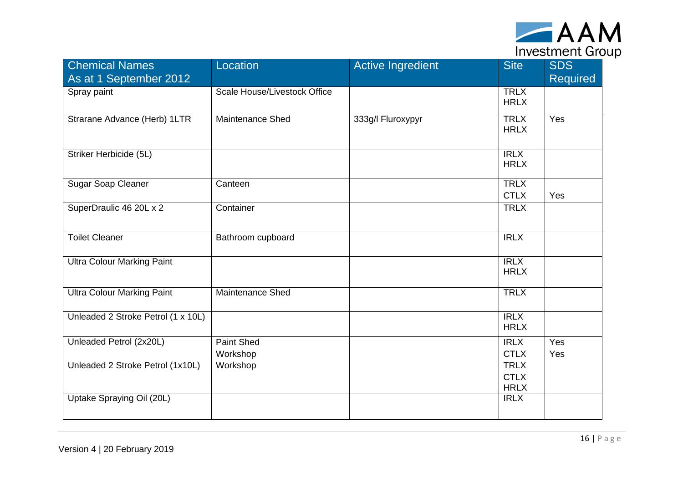

| <b>Chemical Names</b><br>As at 1 September 2012 | Location                            | <b>Active Ingredient</b> | <b>Site</b>                               | <b>SDS</b><br><b>Required</b> |
|-------------------------------------------------|-------------------------------------|--------------------------|-------------------------------------------|-------------------------------|
| Spray paint                                     | <b>Scale House/Livestock Office</b> |                          | <b>TRLX</b><br><b>HRLX</b>                |                               |
| Strarane Advance (Herb) 1LTR                    | <b>Maintenance Shed</b>             | 333g/l Fluroxypyr        | <b>TRLX</b><br><b>HRLX</b>                | Yes                           |
| Striker Herbicide (5L)                          |                                     |                          | <b>IRLX</b><br><b>HRLX</b>                |                               |
| <b>Sugar Soap Cleaner</b>                       | Canteen                             |                          | <b>TRLX</b><br><b>CTLX</b>                | Yes                           |
| SuperDraulic 46 20L x 2                         | Container                           |                          | <b>TRLX</b>                               |                               |
| <b>Toilet Cleaner</b>                           | Bathroom cupboard                   |                          | <b>IRLX</b>                               |                               |
| <b>Ultra Colour Marking Paint</b>               |                                     |                          | IRLX<br><b>HRLX</b>                       |                               |
| <b>Ultra Colour Marking Paint</b>               | <b>Maintenance Shed</b>             |                          | <b>TRLX</b>                               |                               |
| Unleaded 2 Stroke Petrol (1 x 10L)              |                                     |                          | <b>IRLX</b><br><b>HRLX</b>                |                               |
| Unleaded Petrol (2x20L)                         | <b>Paint Shed</b><br>Workshop       |                          | <b>IRLX</b><br><b>CTLX</b>                | Yes<br>Yes                    |
| Unleaded 2 Stroke Petrol (1x10L)                | Workshop                            |                          | <b>TRLX</b><br><b>CTLX</b><br><b>HRLX</b> |                               |
| Uptake Spraying Oil (20L)                       |                                     |                          | <b>IRLX</b>                               |                               |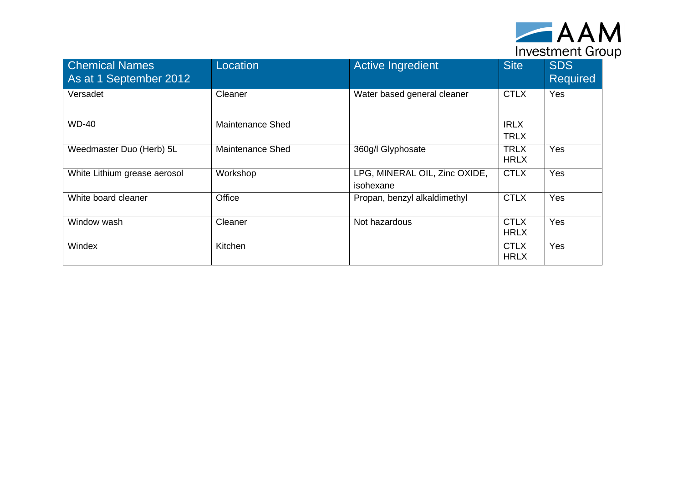

| <b>Chemical Names</b><br>As at 1 September 2012 | Location                | <b>Active Ingredient</b>                   | <b>Site</b>                | <b>SDS</b><br><b>Required</b> |
|-------------------------------------------------|-------------------------|--------------------------------------------|----------------------------|-------------------------------|
| Versadet                                        | Cleaner                 | Water based general cleaner                | <b>CTLX</b>                | Yes                           |
| <b>WD-40</b>                                    | <b>Maintenance Shed</b> |                                            | <b>IRLX</b><br><b>TRLX</b> |                               |
| Weedmaster Duo (Herb) 5L                        | <b>Maintenance Shed</b> | 360g/l Glyphosate                          | <b>TRLX</b><br><b>HRLX</b> | Yes                           |
| White Lithium grease aerosol                    | Workshop                | LPG, MINERAL OIL, Zinc OXIDE,<br>isohexane | <b>CTLX</b>                | Yes                           |
| White board cleaner                             | Office                  | Propan, benzyl alkaldimethyl               | <b>CTLX</b>                | Yes                           |
| Window wash                                     | Cleaner                 | Not hazardous                              | <b>CTLX</b><br><b>HRLX</b> | Yes                           |
| Windex                                          | Kitchen                 |                                            | <b>CTLX</b><br><b>HRLX</b> | Yes                           |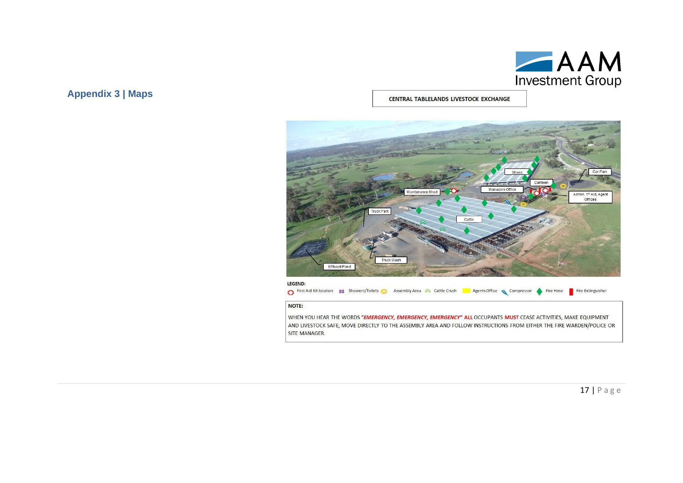

<span id="page-18-0"></span>**Appendix 3 | Maps**

CENTRAL TABLELANDS LIVESTOCK EXCHANGE



LEGEND:

First Aid Kit location 83 Showers/Toilets a Assembly Area & Cattle Crush a Agents Office Compressor Fire Hose

NOTE:

SITE MANAGER.

WHEN YOU HEAR THE WORDS "EMERGENCY, EMERGENCY, EMERGENCY" ALL OCCUPANTS MUST CEASE ACTIVITIES, MAKE EQUIPMENT AND LIVESTOCK SAFE, MOVE DIRECTLY TO THE ASSEMBLY AREA AND FOLLOW INSTRUCTIONS FROM EITHER THE FIRE WARDEN/POLICE OR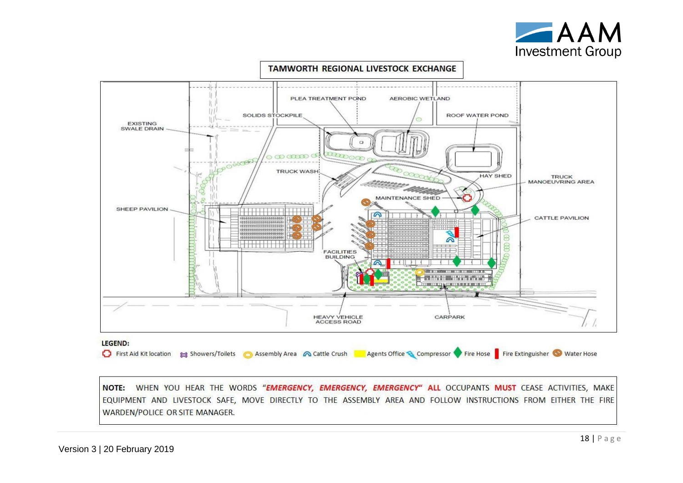



NOTE: WHEN YOU HEAR THE WORDS "EMERGENCY, EMERGENCY, EMERGENCY" ALL OCCUPANTS MUST CEASE ACTIVITIES, MAKE EQUIPMENT AND LIVESTOCK SAFE, MOVE DIRECTLY TO THE ASSEMBLY AREA AND FOLLOW INSTRUCTIONS FROM EITHER THE FIRE WARDEN/POLICE OR SITE MANAGER.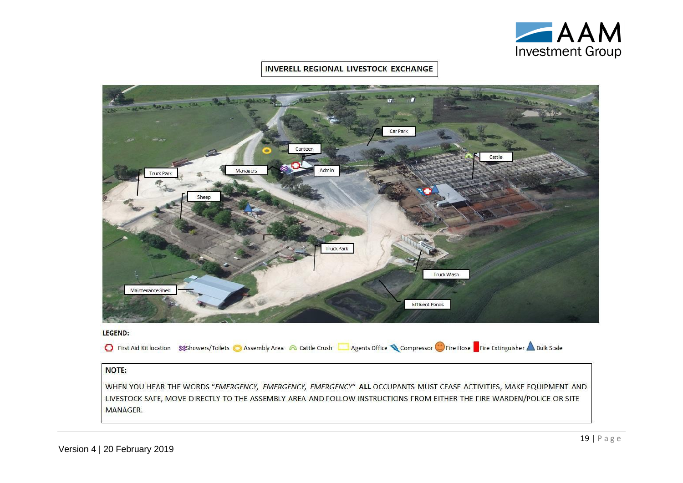

#### **INVERELL REGIONAL LIVESTOCK EXCHANGE**